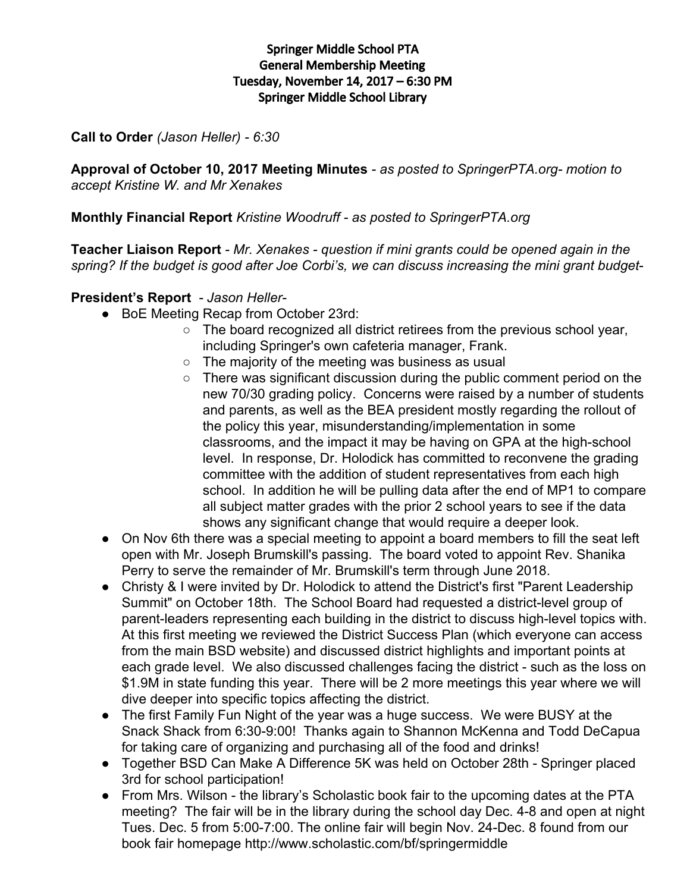# Springer Middle School PTA General Membership Meeting Tuesday, November 14, 2017 – 6:30 PM Springer Middle School Library

**Call to Order** *(Jason Heller) - 6:30*

**Approval of October 10, 2017 Meeting Minutes** *- as posted to SpringerPTA.org- motion to accept Kristine W. and Mr Xenakes*

**Monthly Financial Report** *Kristine Woodruff - as posted to SpringerPTA.org*

**Teacher Liaison Report** *- Mr. Xenakes - question if mini grants could be opened again in the spring? If the budget is good after Joe Corbi's, we can discuss increasing the mini grant budget*-

# **President's Report** *- Jason Heller-*

- BoE Meeting Recap from October 23rd:
	- The board recognized all district retirees from the previous school year, including Springer's own cafeteria manager, Frank.
	- The majority of the meeting was business as usual
	- There was significant discussion during the public comment period on the new 70/30 grading policy. Concerns were raised by a number of students and parents, as well as the BEA president mostly regarding the rollout of the policy this year, misunderstanding/implementation in some classrooms, and the impact it may be having on GPA at the high-school level. In response, Dr. Holodick has committed to reconvene the grading committee with the addition of student representatives from each high school. In addition he will be pulling data after the end of MP1 to compare all subject matter grades with the prior 2 school years to see if the data shows any significant change that would require a deeper look.
- On Nov 6th there was a special meeting to appoint a board members to fill the seat left open with Mr. Joseph Brumskill's passing. The board voted to appoint Rev. Shanika Perry to serve the remainder of Mr. Brumskill's term through June 2018.
- Christy & I were invited by Dr. Holodick to attend the District's first "Parent Leadership Summit" on October 18th. The School Board had requested a district-level group of parent-leaders representing each building in the district to discuss high-level topics with. At this first meeting we reviewed the District Success Plan (which everyone can access from the main BSD website) and discussed district highlights and important points at each grade level. We also discussed challenges facing the district - such as the loss on \$1.9M in state funding this year. There will be 2 more meetings this year where we will dive deeper into specific topics affecting the district.
- The first Family Fun Night of the year was a huge success. We were BUSY at the Snack Shack from 6:30-9:00! Thanks again to Shannon McKenna and Todd DeCapua for taking care of organizing and purchasing all of the food and drinks!
- Together BSD Can Make A Difference 5K was held on October 28th Springer placed 3rd for school participation!
- From Mrs. Wilson the library's Scholastic book fair to the upcoming dates at the PTA meeting? The fair will be in the library during the school day Dec. 4-8 and open at night Tues. Dec. 5 from 5:00-7:00. The online fair will begin Nov. 24-Dec. 8 found from our book fair homepage http://www.scholastic.com/bf/springermiddle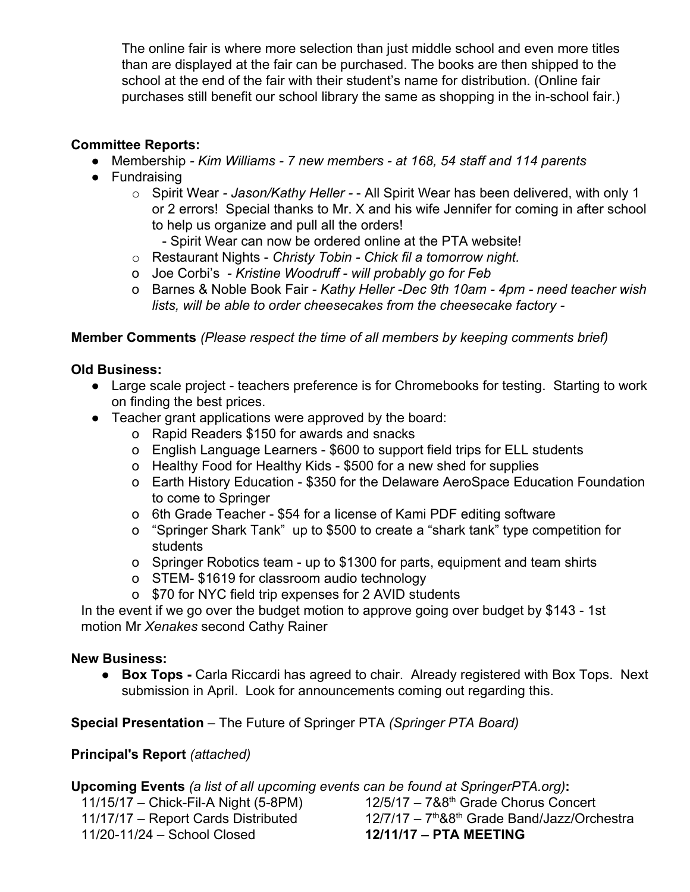The online fair is where more selection than just middle school and even more titles than are displayed at the fair can be purchased. The books are then shipped to the school at the end of the fair with their student's name for distribution. (Online fair purchases still benefit our school library the same as shopping in the in-school fair.)

# **Committee Reports:**

- Membership *- Kim Williams - 7 new members - at 168, 54 staff and 114 parents*
- Fundraising
	- o Spirit Wear *- Jason/Kathy Heller -* All Spirit Wear has been delivered, with only 1 or 2 errors! Special thanks to Mr. X and his wife Jennifer for coming in after school to help us organize and pull all the orders!
		- Spirit Wear can now be ordered online at the PTA website!
	- o Restaurant Nights *Christy Tobin - Chick fil a tomorrow night.*
	- o Joe Corbi's *- Kristine Woodruff - will probably go for Feb*
	- o Barnes & Noble Book Fair *- Kathy Heller -Dec 9th 10am - 4pm - need teacher wish lists, will be able to order cheesecakes from the cheesecake factory -*

# **Member Comments** *(Please respect the time of all members by keeping comments brief)*

# **Old Business:**

- Large scale project teachers preference is for Chromebooks for testing. Starting to work on finding the best prices.
- Teacher grant applications were approved by the board:
	- o Rapid Readers \$150 for awards and snacks
	- o English Language Learners \$600 to support field trips for ELL students
	- o Healthy Food for Healthy Kids \$500 for a new shed for supplies
	- o Earth History Education \$350 for the Delaware AeroSpace Education Foundation to come to Springer
	- o 6th Grade Teacher \$54 for a license of Kami PDF editing software
	- o "Springer Shark Tank" up to \$500 to create a "shark tank" type competition for students
	- o Springer Robotics team up to \$1300 for parts, equipment and team shirts
	- o STEM- \$1619 for classroom audio technology
	- o \$70 for NYC field trip expenses for 2 AVID students

In the event if we go over the budget motion to approve going over budget by \$143 - 1st motion Mr *Xenakes* second Cathy Rainer

## **New Business:**

● **Box Tops -** Carla Riccardi has agreed to chair. Already registered with Box Tops. Next submission in April. Look for announcements coming out regarding this.

**Special Presentation** – The Future of Springer PTA *(Springer PTA Board)*

# **Principal's Report** *(attached)*

**Upcoming Events** *(a list of all upcoming events can be found at SpringerPTA.org)***:**

11/20-11/24 – School Closed **12/11/17 – PTA MEETING**

11/15/17 – Chick-Fil-A Night (5-8PM) 12/5/17 – 7&8<sup>th</sup> Grade Chorus Concert 11/17/17 - Report Cards Distributed 12/7/17 - 7<sup>th</sup>&8<sup>th</sup> Grade Band/Jazz/Orchestra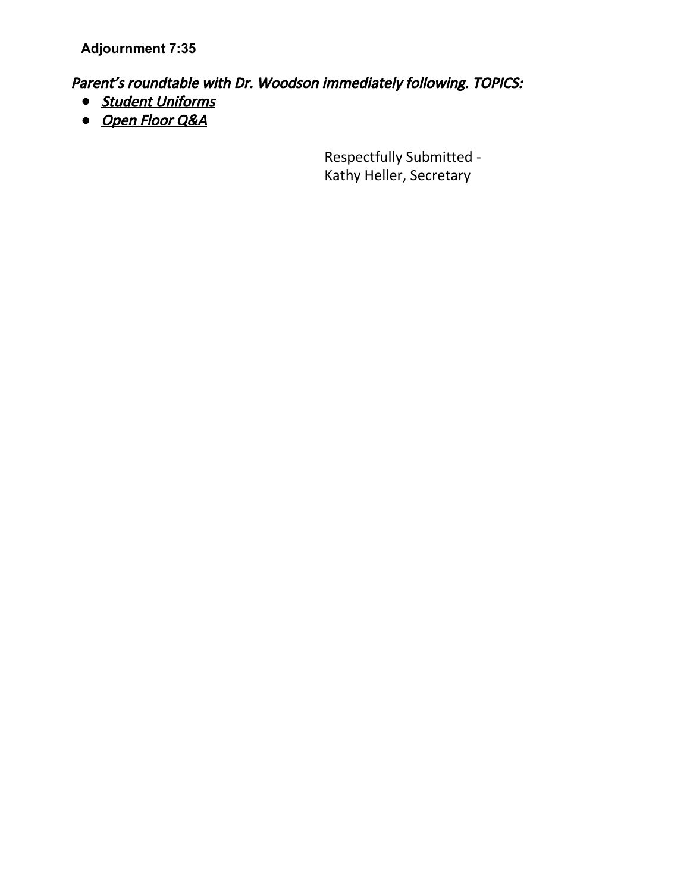**Adjournment 7:35**

Parent's roundtable with Dr. Woodson immediately following. TOPICS:

- *●* Student Uniforms
- *●* Open Floor Q&A

Respectfully Submitted - Kathy Heller, Secretary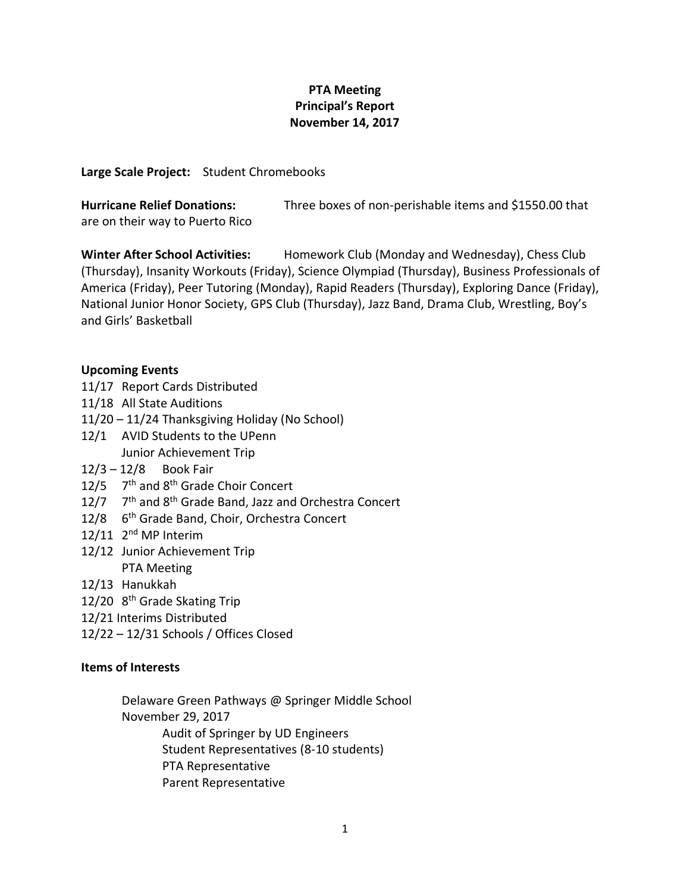## **PTA Meeting Principal's Report November 14, 2017**

**Large Scale Project:** Student Chromebooks

| <b>Hurricane Relief Donations:</b> | Three boxes of non-perishable items and \$1550.00 that |
|------------------------------------|--------------------------------------------------------|
| are on their way to Puerto Rico    |                                                        |

**Winter After School Activities:** Homework Club (Monday and Wednesday), Chess Club (Thursday), Insanity Workouts (Friday), Science Olympiad (Thursday), Business Professionals of America (Friday), Peer Tutoring (Monday), Rapid Readers (Thursday), Exploring Dance (Friday), National Junior Honor Society, GPS Club (Thursday), Jazz Band, Drama Club, Wrestling, Boy's and Girls' Basketball

#### **Upcoming Events**

- 11/17 Report Cards Distributed
- 11/18 All State Auditions
- 11/20 11/24 Thanksgiving Holiday (No School)
- 12/1 AVID Students to the UPenn Junior Achievement Trip
- 12/3 12/8 Book Fair
- 12/5 7<sup>th</sup> and 8<sup>th</sup> Grade Choir Concert
- 12/7  $7<sup>th</sup>$  and 8<sup>th</sup> Grade Band, Jazz and Orchestra Concert
- 12/8 6th Grade Band, Choir, Orchestra Concert
- 12/11 2<sup>nd</sup> MP Interim
- 12/12 Junior Achievement Trip PTA Meeting
- 12/13 Hanukkah
- 12/20 8<sup>th</sup> Grade Skating Trip
- 12/21 Interims Distributed
- 12/22 12/31 Schools / Offices Closed

#### **Items of Interests**

- Delaware Green Pathways @ Springer Middle School
- November 29, 2017
	- Audit of Springer by UD Engineers
	- Student Representatives (8-10 students)
	- PTA Representative
	- Parent Representative